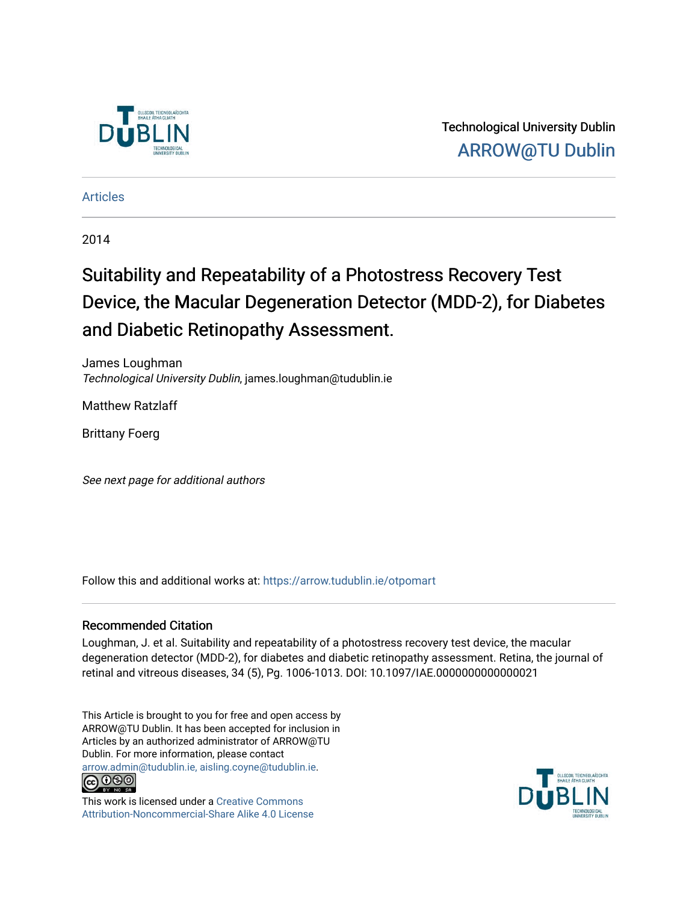

Technological University Dublin [ARROW@TU Dublin](https://arrow.tudublin.ie/) 

[Articles](https://arrow.tudublin.ie/otpomart)

2014

## Suitability and Repeatability of a Photostress Recovery Test Device, the Macular Degeneration Detector (MDD-2), for Diabetes and Diabetic Retinopathy Assessment.

James Loughman Technological University Dublin, james.loughman@tudublin.ie

Matthew Ratzlaff

Brittany Foerg

See next page for additional authors

Follow this and additional works at: [https://arrow.tudublin.ie/otpomart](https://arrow.tudublin.ie/otpomart?utm_source=arrow.tudublin.ie%2Fotpomart%2F40&utm_medium=PDF&utm_campaign=PDFCoverPages)

## Recommended Citation

Loughman, J. et al. Suitability and repeatability of a photostress recovery test device, the macular degeneration detector (MDD-2), for diabetes and diabetic retinopathy assessment. Retina, the journal of retinal and vitreous diseases, 34 (5), Pg. 1006-1013. DOI: 10.1097/IAE.0000000000000021

This Article is brought to you for free and open access by ARROW@TU Dublin. It has been accepted for inclusion in Articles by an authorized administrator of ARROW@TU Dublin. For more information, please contact [arrow.admin@tudublin.ie, aisling.coyne@tudublin.ie](mailto:arrow.admin@tudublin.ie,%20aisling.coyne@tudublin.ie).



This work is licensed under a [Creative Commons](http://creativecommons.org/licenses/by-nc-sa/4.0/) [Attribution-Noncommercial-Share Alike 4.0 License](http://creativecommons.org/licenses/by-nc-sa/4.0/)

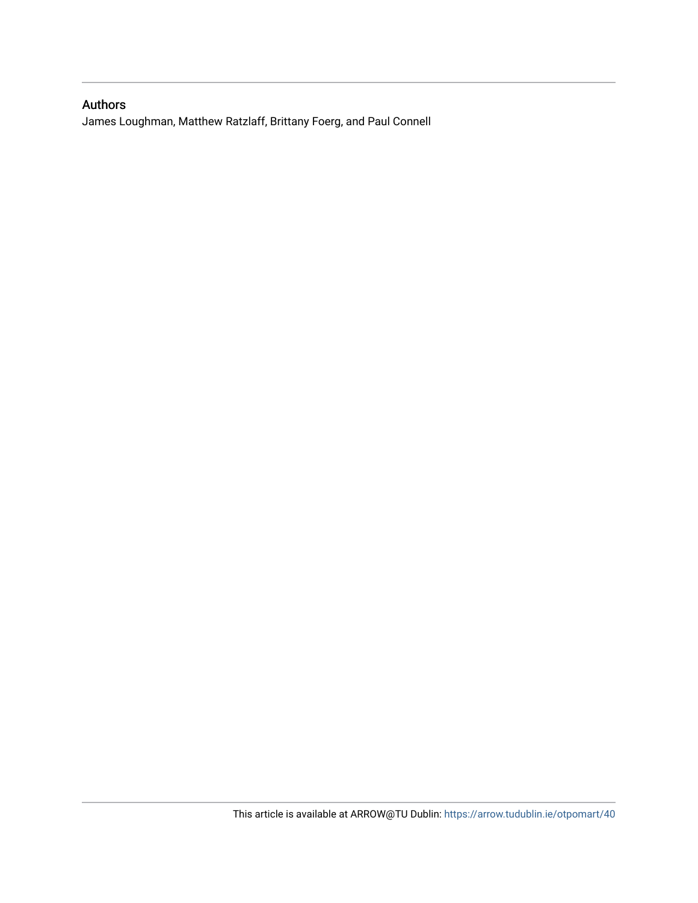## Authors

James Loughman, Matthew Ratzlaff, Brittany Foerg, and Paul Connell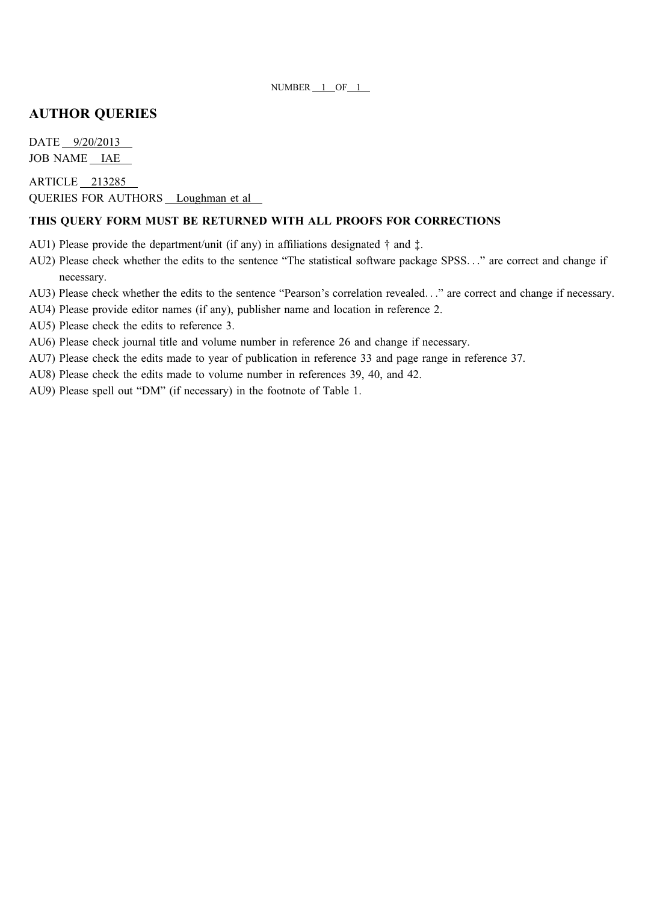### AUTHOR QUERIES

DATE 9/20/2013 JOB NAME IAE

ARTICLE 213285 QUERIES FOR AUTHORS Loughman et al

#### THIS QUERY FORM MUST BE RETURNED WITH ALL PROOFS FOR CORRECTIONS

- AU1) Please provide the department/unit (if any) in affiliations designated † and ‡.
- AU2) Please check whether the edits to the sentence "The statistical software package SPSS..." are correct and change if necessary.
- AU3) Please check whether the edits to the sentence "Pearson's correlation revealed..." are correct and change if necessary.
- AU4) Please provide editor names (if any), publisher name and location in reference 2.
- AU5) Please check the edits to reference 3.
- AU6) Please check journal title and volume number in reference 26 and change if necessary.
- AU7) Please check the edits made to year of publication in reference 33 and page range in reference 37.
- AU8) Please check the edits made to volume number in references 39, 40, and 42.
- AU9) Please spell out "DM" (if necessary) in the footnote of Table 1.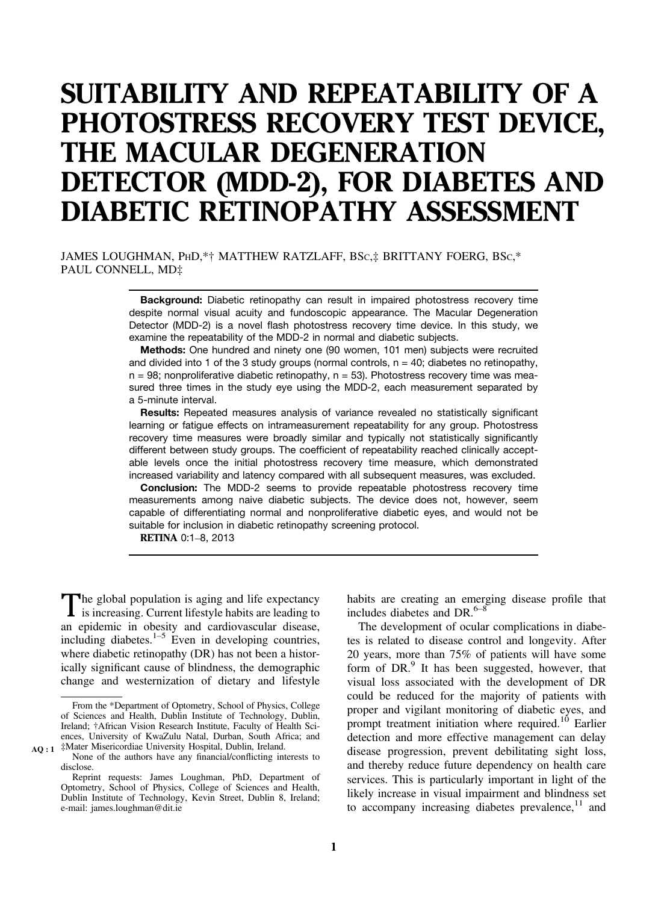# SUITABILITY AND REPEATABILITY OF A PHOTOSTRESS RECOVERY TEST DEVICE, THE MACULAR DEGENERATION DETECTOR (MDD-2), FOR DIABETES AND DIABETIC RETINOPATHY ASSESSMENT

JAMES LOUGHMAN, PHD,\*† MATTHEW RATZLAFF, BSC,‡ BRITTANY FOERG, BSC,\* PAUL CONNELL, MD‡

> Background: Diabetic retinopathy can result in impaired photostress recovery time despite normal visual acuity and fundoscopic appearance. The Macular Degeneration Detector (MDD-2) is a novel flash photostress recovery time device. In this study, we examine the repeatability of the MDD-2 in normal and diabetic subjects.

> Methods: One hundred and ninety one (90 women, 101 men) subjects were recruited and divided into 1 of the 3 study groups (normal controls,  $n = 40$ ; diabetes no retinopathy,  $n = 98$ ; nonproliferative diabetic retinopathy,  $n = 53$ ). Photostress recovery time was measured three times in the study eye using the MDD-2, each measurement separated by a 5-minute interval.

> Results: Repeated measures analysis of variance revealed no statistically significant learning or fatigue effects on intrameasurement repeatability for any group. Photostress recovery time measures were broadly similar and typically not statistically significantly different between study groups. The coefficient of repeatability reached clinically acceptable levels once the initial photostress recovery time measure, which demonstrated increased variability and latency compared with all subsequent measures, was excluded.

> Conclusion: The MDD-2 seems to provide repeatable photostress recovery time measurements among naive diabetic subjects. The device does not, however, seem capable of differentiating normal and nonproliferative diabetic eyes, and would not be suitable for inclusion in diabetic retinopathy screening protocol.

RETINA 0:1–8, 2013

The global population is aging and life expectancy<br>is increasing. Current lifestyle habits are leading to an epidemic in obesity and cardiovascular disease, including diabetes. $1-5$  Even in developing countries, where diabetic retinopathy (DR) has not been a historically significant cause of blindness, the demographic change and westernization of dietary and lifestyle

habits are creating an emerging disease profile that includes diabetes and DR. $6-8$ 

The development of ocular complications in diabetes is related to disease control and longevity. After 20 years, more than 75% of patients will have some form of  $DR<sup>9</sup>$  It has been suggested, however, that visual loss associated with the development of DR could be reduced for the majority of patients with proper and vigilant monitoring of diabetic eyes, and prompt treatment initiation where required.<sup>10</sup> Earlier detection and more effective management can delay disease progression, prevent debilitating sight loss, and thereby reduce future dependency on health care services. This is particularly important in light of the likely increase in visual impairment and blindness set to accompany increasing diabetes prevalence, $11$  and

From the \*Department of Optometry, School of Physics, College of Sciences and Health, Dublin Institute of Technology, Dublin, Ireland; †African Vision Research Institute, Faculty of Health Sciences, University of KwaZulu Natal, Durban, South Africa; and AQ : 1 ‡Mater Misericordiae University Hospital, Dublin, Ireland.

None of the authors have any financial/conflicting interests to disclose.

Reprint requests: James Loughman, PhD, Department of Optometry, School of Physics, College of Sciences and Health, Dublin Institute of Technology, Kevin Street, Dublin 8, Ireland; e-mail: [james.loughman@dit.ie](mailto:james.loughman@dit.ie)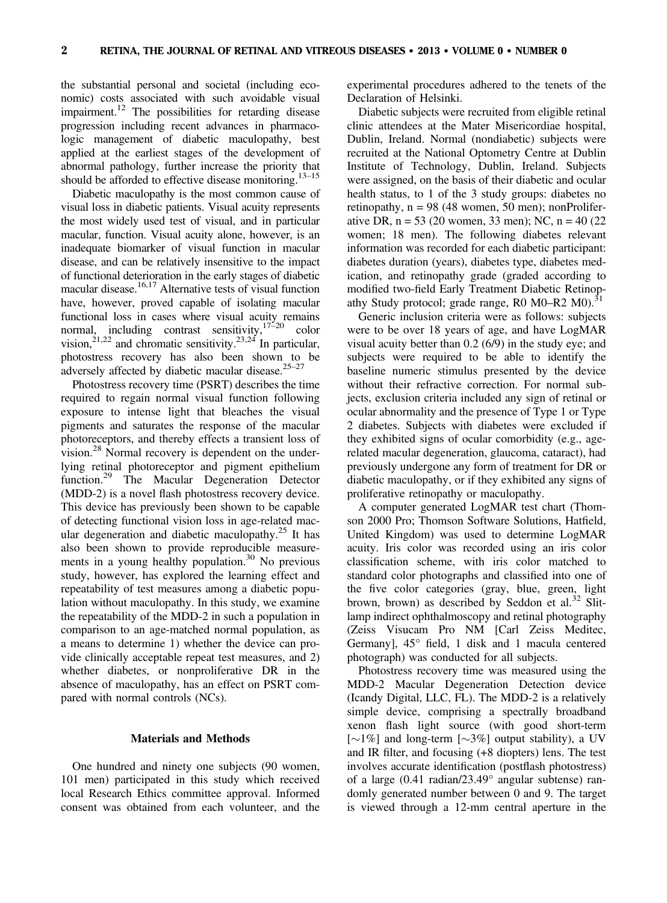the substantial personal and societal (including economic) costs associated with such avoidable visual impairment.<sup>12</sup> The possibilities for retarding disease progression including recent advances in pharmacologic management of diabetic maculopathy, best applied at the earliest stages of the development of abnormal pathology, further increase the priority that should be afforded to effective disease monitoring. $13-15$ 

Diabetic maculopathy is the most common cause of visual loss in diabetic patients. Visual acuity represents the most widely used test of visual, and in particular macular, function. Visual acuity alone, however, is an inadequate biomarker of visual function in macular disease, and can be relatively insensitive to the impact of functional deterioration in the early stages of diabetic macular disease.16,17 Alternative tests of visual function have, however, proved capable of isolating macular functional loss in cases where visual acuity remains normal, including contrast sensitivity, $17-20$  color vision, $^{21,22}$  and chromatic sensitivity. $^{23,24}$  In particular, photostress recovery has also been shown to be adversely affected by diabetic macular disease. $25-27$ 

Photostress recovery time (PSRT) describes the time required to regain normal visual function following exposure to intense light that bleaches the visual pigments and saturates the response of the macular photoreceptors, and thereby effects a transient loss of vision.28 Normal recovery is dependent on the underlying retinal photoreceptor and pigment epithelium function.<sup>29</sup> The Macular Degeneration Detector (MDD-2) is a novel flash photostress recovery device. This device has previously been shown to be capable of detecting functional vision loss in age-related macular degeneration and diabetic maculopathy.<sup>25</sup> It has also been shown to provide reproducible measurements in a young healthy population. $30$  No previous study, however, has explored the learning effect and repeatability of test measures among a diabetic population without maculopathy. In this study, we examine the repeatability of the MDD-2 in such a population in comparison to an age-matched normal population, as a means to determine 1) whether the device can provide clinically acceptable repeat test measures, and 2) whether diabetes, or nonproliferative DR in the absence of maculopathy, has an effect on PSRT compared with normal controls (NCs).

#### Materials and Methods

One hundred and ninety one subjects (90 women, 101 men) participated in this study which received local Research Ethics committee approval. Informed consent was obtained from each volunteer, and the experimental procedures adhered to the tenets of the Declaration of Helsinki.

Diabetic subjects were recruited from eligible retinal clinic attendees at the Mater Misericordiae hospital, Dublin, Ireland. Normal (nondiabetic) subjects were recruited at the National Optometry Centre at Dublin Institute of Technology, Dublin, Ireland. Subjects were assigned, on the basis of their diabetic and ocular health status, to 1 of the 3 study groups: diabetes no retinopathy,  $n = 98$  (48 women, 50 men); nonProliferative DR,  $n = 53$  (20 women, 33 men); NC,  $n = 40$  (22) women; 18 men). The following diabetes relevant information was recorded for each diabetic participant: diabetes duration (years), diabetes type, diabetes medication, and retinopathy grade (graded according to modified two-field Early Treatment Diabetic Retinopathy Study protocol; grade range, R0 M0–R2 M0). $31$ 

Generic inclusion criteria were as follows: subjects were to be over 18 years of age, and have LogMAR visual acuity better than 0.2 (6/9) in the study eye; and subjects were required to be able to identify the baseline numeric stimulus presented by the device without their refractive correction. For normal subjects, exclusion criteria included any sign of retinal or ocular abnormality and the presence of Type 1 or Type 2 diabetes. Subjects with diabetes were excluded if they exhibited signs of ocular comorbidity (e.g., agerelated macular degeneration, glaucoma, cataract), had previously undergone any form of treatment for DR or diabetic maculopathy, or if they exhibited any signs of proliferative retinopathy or maculopathy.

A computer generated LogMAR test chart (Thomson 2000 Pro; Thomson Software Solutions, Hatfield, United Kingdom) was used to determine LogMAR acuity. Iris color was recorded using an iris color classification scheme, with iris color matched to standard color photographs and classified into one of the five color categories (gray, blue, green, light brown, brown) as described by Seddon et al. $32$  Slitlamp indirect ophthalmoscopy and retinal photography (Zeiss Visucam Pro NM [Carl Zeiss Meditec, Germany], 45° field, 1 disk and 1 macula centered photograph) was conducted for all subjects.

Photostress recovery time was measured using the MDD-2 Macular Degeneration Detection device (Icandy Digital, LLC, FL). The MDD-2 is a relatively simple device, comprising a spectrally broadband xenon flash light source (with good short-term  $[\sim]1\%$ ] and long-term  $[\sim]3\%$ ] output stability), a UV and IR filter, and focusing (+8 diopters) lens. The test involves accurate identification (postflash photostress) of a large (0.41 radian/23.49° angular subtense) randomly generated number between 0 and 9. The target is viewed through a 12-mm central aperture in the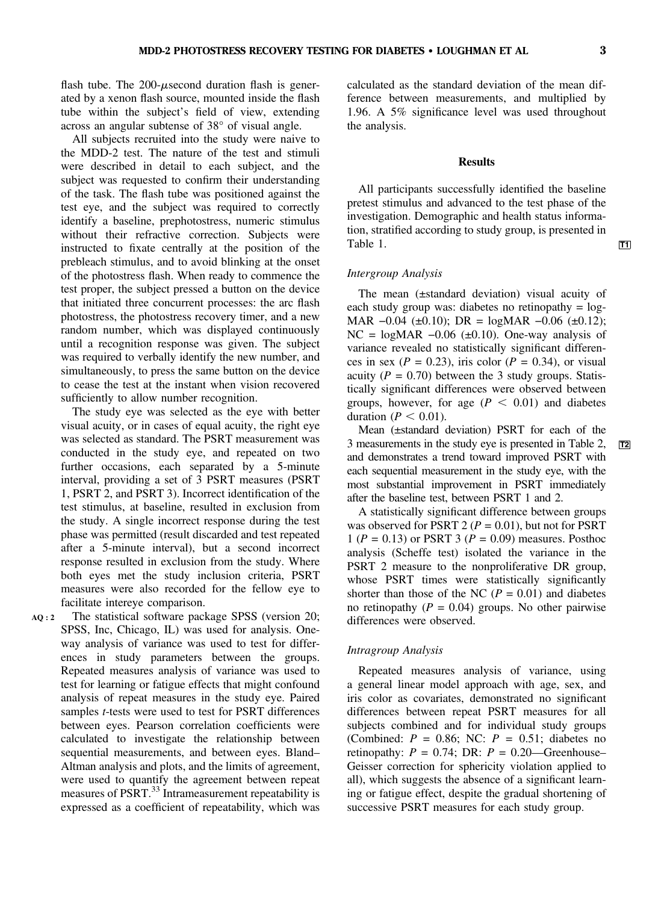flash tube. The  $200$ - $\mu$ second duration flash is generated by a xenon flash source, mounted inside the flash tube within the subject's field of view, extending across an angular subtense of 38° of visual angle.

All subjects recruited into the study were naive to the MDD-2 test. The nature of the test and stimuli were described in detail to each subject, and the subject was requested to confirm their understanding of the task. The flash tube was positioned against the test eye, and the subject was required to correctly identify a baseline, prephotostress, numeric stimulus without their refractive correction. Subjects were instructed to fixate centrally at the position of the prebleach stimulus, and to avoid blinking at the onset of the photostress flash. When ready to commence the test proper, the subject pressed a button on the device that initiated three concurrent processes: the arc flash photostress, the photostress recovery timer, and a new random number, which was displayed continuously until a recognition response was given. The subject was required to verbally identify the new number, and simultaneously, to press the same button on the device to cease the test at the instant when vision recovered sufficiently to allow number recognition.

The study eye was selected as the eye with better visual acuity, or in cases of equal acuity, the right eye was selected as standard. The PSRT measurement was conducted in the study eye, and repeated on two further occasions, each separated by a 5-minute interval, providing a set of 3 PSRT measures (PSRT 1, PSRT 2, and PSRT 3). Incorrect identification of the test stimulus, at baseline, resulted in exclusion from the study. A single incorrect response during the test phase was permitted (result discarded and test repeated after a 5-minute interval), but a second incorrect response resulted in exclusion from the study. Where both eyes met the study inclusion criteria, PSRT measures were also recorded for the fellow eye to facilitate intereye comparison.

AQ: 2 The statistical software package SPSS (version 20; SPSS, Inc, Chicago, IL) was used for analysis. Oneway analysis of variance was used to test for differences in study parameters between the groups. Repeated measures analysis of variance was used to test for learning or fatigue effects that might confound analysis of repeat measures in the study eye. Paired samples t-tests were used to test for PSRT differences between eyes. Pearson correlation coefficients were calculated to investigate the relationship between sequential measurements, and between eyes. Bland– Altman analysis and plots, and the limits of agreement, were used to quantify the agreement between repeat measures of PSRT.<sup>33</sup> Intrameasurement repeatability is expressed as a coefficient of repeatability, which was calculated as the standard deviation of the mean difference between measurements, and multiplied by 1.96. A 5% significance level was used throughout the analysis.

#### Results

All participants successfully identified the baseline pretest stimulus and advanced to the test phase of the investigation. Demographic and health status information, stratified according to study group, is presented in Table 1.

#### Intergroup Analysis

The mean (±standard deviation) visual acuity of each study group was: diabetes no retinopathy = log-The mean ( $\pm$ standard deviation) visual acuity of<br>each study group was: diabetes no retinopathy = log-<br>MAR −0.04 ( $\pm$ 0.10); DR = logMAR −0.06 ( $\pm$ 0.12); The mean (±standard deviation) visual acuity of each study group was: diabetes no retinopathy = log-MAR −0.04 (±0.10); DR = logMAR −0.06 (±0.12); NC = logMAR −0.06 (±0.10). One-way analysis of variance revealed no statistically significant differences in sex ( $P = 0.23$ ), iris color ( $P = 0.34$ ), or visual acuity ( $P = 0.70$ ) between the 3 study groups. Statistically significant differences were observed between groups, however, for age ( $P < 0.01$ ) and diabetes duration ( $P < 0.01$ ).

Mean (±standard deviation) PSRT for each of the 3 measurements in the study eye is presented in Table 2,  $\boxed{72}$ and demonstrates a trend toward improved PSRT with each sequential measurement in the study eye, with the most substantial improvement in PSRT immediately after the baseline test, between PSRT 1 and 2.

A statistically significant difference between groups was observed for PSRT 2 ( $P = 0.01$ ), but not for PSRT 1 ( $P = 0.13$ ) or PSRT 3 ( $P = 0.09$ ) measures. Posthoc analysis (Scheffe test) isolated the variance in the PSRT 2 measure to the nonproliferative DR group, whose PSRT times were statistically significantly shorter than those of the NC ( $P = 0.01$ ) and diabetes no retinopathy ( $P = 0.04$ ) groups. No other pairwise differences were observed.

#### Intragroup Analysis

Repeated measures analysis of variance, using a general linear model approach with age, sex, and iris color as covariates, demonstrated no significant differences between repeat PSRT measures for all subjects combined and for individual study groups (Combined:  $P = 0.86$ ; NC:  $P = 0.51$ ; diabetes no retinopathy:  $P = 0.74$ ; DR:  $P = 0.20$ —Greenhouse– Geisser correction for sphericity violation applied to all), which suggests the absence of a significant learning or fatigue effect, despite the gradual shortening of successive PSRT measures for each study group.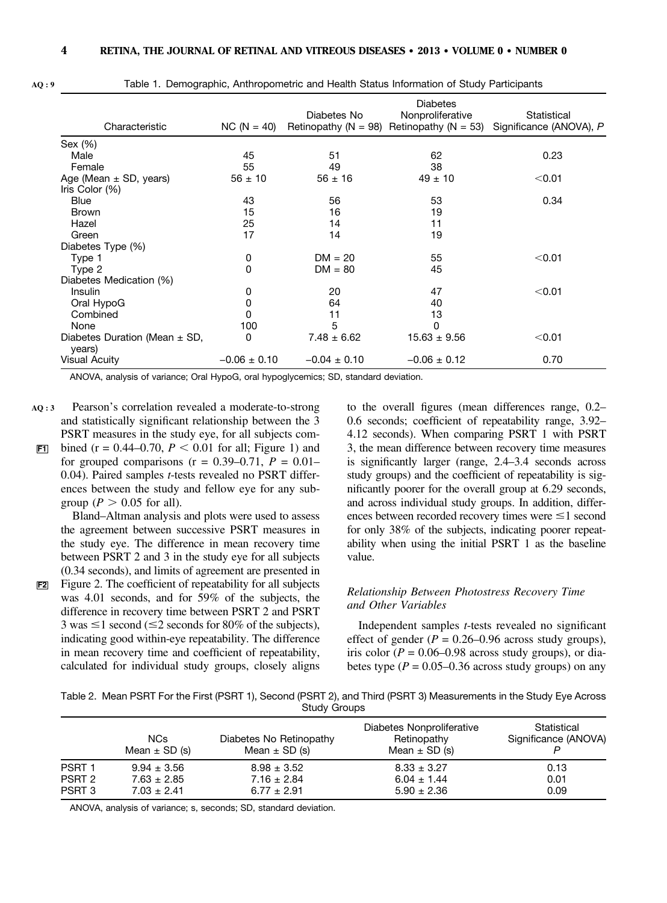| Characteristic                              | $NC (N = 40)$    | Diabetes No      | <b>Diabetes</b><br>Nonproliferative<br>Retinopathy ( $N = 98$ ) Retinopathy ( $N = 53$ ) | Statistical<br>Significance (ANOVA), P |
|---------------------------------------------|------------------|------------------|------------------------------------------------------------------------------------------|----------------------------------------|
| Sex $(\%)$                                  |                  |                  |                                                                                          |                                        |
| Male                                        | 45               | 51               | 62                                                                                       | 0.23                                   |
| Female                                      | 55               | 49               | 38                                                                                       |                                        |
| Age (Mean $\pm$ SD, years)                  | $56 \pm 10$      | $56 \pm 16$      | $49 \pm 10$                                                                              | < 0.01                                 |
| Iris Color (%)                              |                  |                  |                                                                                          |                                        |
| <b>Blue</b>                                 | 43               | 56               | 53                                                                                       | 0.34                                   |
| <b>Brown</b>                                | 15               | 16               | 19                                                                                       |                                        |
| Hazel                                       | 25               | 14               | 11                                                                                       |                                        |
| Green                                       | 17               | 14               | 19                                                                                       |                                        |
| Diabetes Type (%)                           |                  |                  |                                                                                          |                                        |
| Type 1                                      | 0                | $DM = 20$        | 55                                                                                       | < 0.01                                 |
| Type 2                                      | 0                | $DM = 80$        | 45                                                                                       |                                        |
| Diabetes Medication (%)                     |                  |                  |                                                                                          |                                        |
| <b>Insulin</b>                              | 0                | 20               | 47                                                                                       | < 0.01                                 |
| Oral HypoG                                  | 0                | 64               | 40                                                                                       |                                        |
| Combined                                    | 0                | 11               | 13                                                                                       |                                        |
| None                                        | 100              | 5                | 0                                                                                        |                                        |
| Diabetes Duration (Mean $\pm$ SD,<br>years) | 0                | $7.48 \pm 6.62$  | $15.63 \pm 9.56$                                                                         | < 0.01                                 |
| Visual Acuity                               | $-0.06 \pm 0.10$ | $-0.04 \pm 0.10$ | $-0.06 \pm 0.12$                                                                         | 0.70                                   |

AQ : 9 Table 1. Demographic, Anthropometric and Health Status Information of Study Participants

ANOVA, analysis of variance; Oral HypoG, oral hypoglycemics; SD, standard deviation.

AQ : 3 Pearson's correlation revealed a moderate-to-strong and statistically significant relationship between the 3 PSRT measures in the study eye, for all subjects com-

**F1** bined (r = 0.44–0.70,  $P < 0.01$  for all; Figure 1) and for grouped comparisons ( $r = 0.39{\text -}0.71$ ,  $P = 0.01{\text -}$ 0.04). Paired samples t-tests revealed no PSRT differences between the study and fellow eye for any subgroup ( $P > 0.05$  for all).

Bland–Altman analysis and plots were used to assess the agreement between successive PSRT measures in the study eye. The difference in mean recovery time between PSRT 2 and 3 in the study eye for all subjects (0.34 seconds), and limits of agreement are presented in

F2 Figure 2. The coefficient of repeatability for all subjects was 4.01 seconds, and for 59% of the subjects, the difference in recovery time between PSRT 2 and PSRT  $3 \text{ was } \leq 1 \text{ second } (\leq 2 \text{ seconds for } 80\% \text{ of the subjects}),$ indicating good within-eye repeatability. The difference in mean recovery time and coefficient of repeatability, calculated for individual study groups, closely aligns

to the overall figures (mean differences range, 0.2– 0.6 seconds; coefficient of repeatability range, 3.92– 4.12 seconds). When comparing PSRT 1 with PSRT 3, the mean difference between recovery time measures is significantly larger (range, 2.4–3.4 seconds across study groups) and the coefficient of repeatability is significantly poorer for the overall group at 6.29 seconds, and across individual study groups. In addition, differences between recorded recovery times were  $\leq 1$  second for only 38% of the subjects, indicating poorer repeatability when using the initial PSRT 1 as the baseline value.

#### Relationship Between Photostress Recovery Time and Other Variables

Independent samples t-tests revealed no significant effect of gender ( $P = 0.26{\text -}0.96$  across study groups), iris color ( $P = 0.06 - 0.98$  across study groups), or diabetes type  $(P = 0.05 - 0.36$  across study groups) on any

|  |  |              |  | Table 2. Mean PSRT For the First (PSRT 1), Second (PSRT 2), and Third (PSRT 3) Measurements in the Study Eye Across |  |  |
|--|--|--------------|--|---------------------------------------------------------------------------------------------------------------------|--|--|
|  |  | Study Groups |  |                                                                                                                     |  |  |

|                   | NCs<br>Mean $\pm$ SD (s) | Diabetes No Retinopathy<br>Mean $\pm$ SD (s) | Diabetes Nonproliferative<br>Retinopathy<br>Mean $\pm$ SD (s) | Statistical<br>Significance (ANOVA) |
|-------------------|--------------------------|----------------------------------------------|---------------------------------------------------------------|-------------------------------------|
| PSRT 1            | $9.94 \pm 3.56$          | $8.98 \pm 3.52$                              | $8.33 \pm 3.27$                                               | 0.13                                |
| PSRT 2            | $7.63 \pm 2.85$          | $7.16 \pm 2.84$                              | $6.04 \pm 1.44$                                               | 0.01                                |
| PSRT <sub>3</sub> | $7.03 \pm 2.41$          | $6.77 \pm 2.91$                              | $5.90 \pm 2.36$                                               | 0.09                                |

ANOVA, analysis of variance; s, seconds; SD, standard deviation.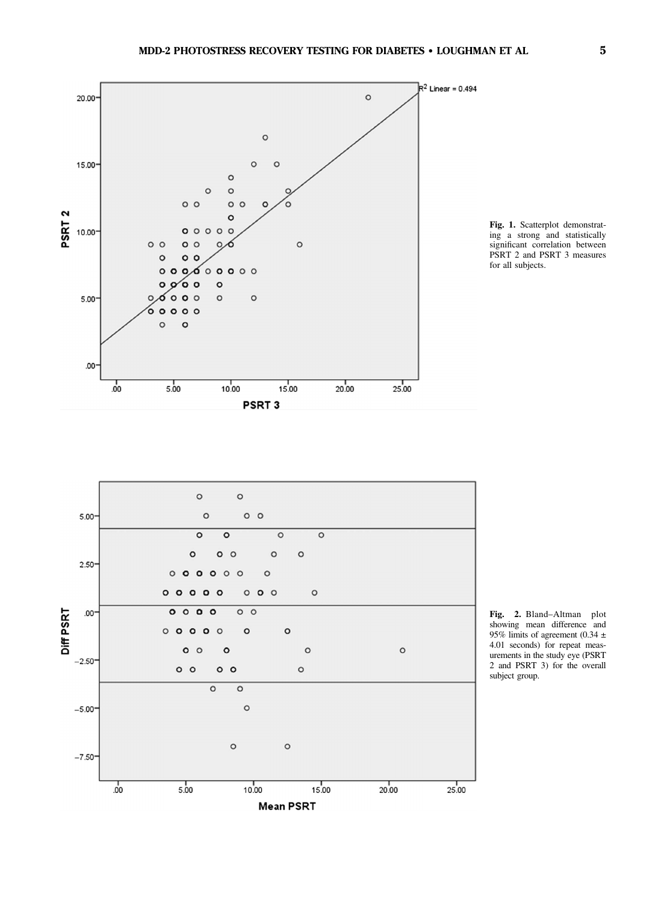





Fig. 2. Bland-Altman plot showing mean difference and 95% limits of agreement (0.34  $\pm$ 4.01 seconds) for repeat measurements in the study eye (PSRT 2 and PSRT 3) for the overall subject group.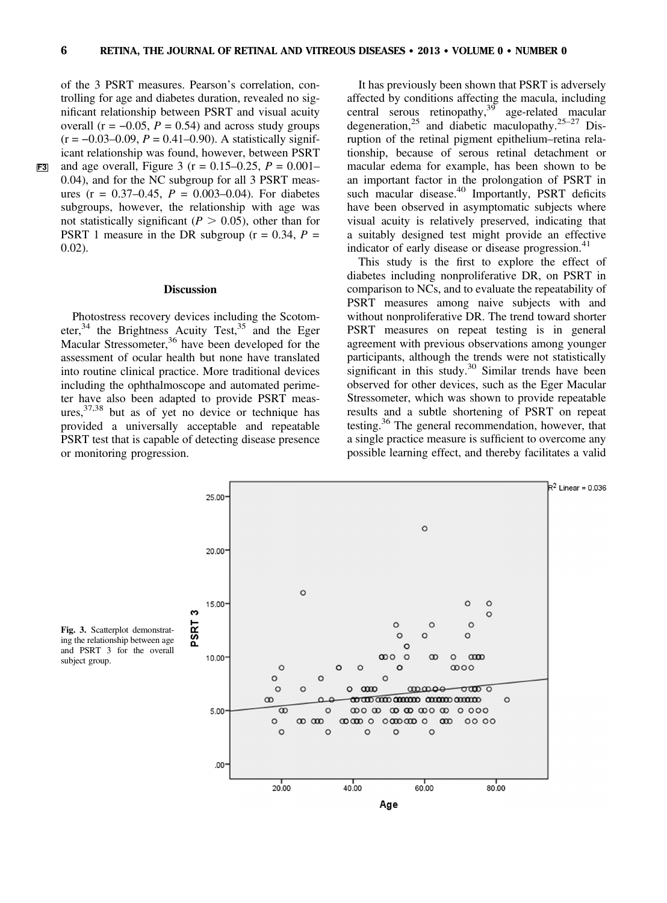of the 3 PSRT measures. Pearson's correlation, controlling for age and diabetes duration, revealed no significant relationship between PSRT and visual acuity of the 3 PSRT measures. Pearson's correlation, controlling for age and diabetes duration, revealed no significant relationship between PSRT and visual acuity overall ( $r = -0.05$ ,  $P = 0.54$ ) and across study groups trolling for age and diabetes duration, revealed no significant relationship between PSRT and visual acuity overall ( $r = -0.05$ ,  $P = 0.54$ ) and across study groups ( $r = -0.03-0.09$ ,  $P = 0.41-0.90$ ). A statistically significant relationship was found, however, between PSRT **F3** and age overall, Figure 3 ( $r = 0.15{\text -}0.25$ ,  $P = 0.001{\text -}$ 0.04), and for the NC subgroup for all 3 PSRT measures (r =  $0.37-0.45$ ,  $P = 0.003-0.04$ ). For diabetes subgroups, however, the relationship with age was not statistically significant ( $P > 0.05$ ), other than for PSRT 1 measure in the DR subgroup ( $r = 0.34$ ,  $P =$ 0.02).

#### **Discussion**

Photostress recovery devices including the Scotometer,<sup>34</sup> the Brightness Acuity Test,<sup>35</sup> and the Eger Macular Stressometer,<sup>36</sup> have been developed for the assessment of ocular health but none have translated into routine clinical practice. More traditional devices including the ophthalmoscope and automated perimeter have also been adapted to provide PSRT meas $ures, <sup>37,38</sup>$  but as of yet no device or technique has provided a universally acceptable and repeatable PSRT test that is capable of detecting disease presence or monitoring progression.

It has previously been shown that PSRT is adversely affected by conditions affecting the macula, including central serous retinopathy, $39 \text{ age-related}$  macular degeneration,<sup>25</sup> and diabetic maculopathy.<sup>25–27</sup> Disruption of the retinal pigment epithelium–retina relationship, because of serous retinal detachment or macular edema for example, has been shown to be an important factor in the prolongation of PSRT in such macular disease.<sup>40</sup> Importantly, PSRT deficits have been observed in asymptomatic subjects where visual acuity is relatively preserved, indicating that a suitably designed test might provide an effective indicator of early disease or disease progression.<sup>41</sup>

This study is the first to explore the effect of diabetes including nonproliferative DR, on PSRT in comparison to NCs, and to evaluate the repeatability of PSRT measures among naive subjects with and without nonproliferative DR. The trend toward shorter PSRT measures on repeat testing is in general agreement with previous observations among younger participants, although the trends were not statistically significant in this study. $30 \text{ Similar trends have been}$ observed for other devices, such as the Eger Macular Stressometer, which was shown to provide repeatable results and a subtle shortening of PSRT on repeat testing.<sup>36</sup> The general recommendation, however, that a single practice measure is sufficient to overcome any possible learning effect, and thereby facilitates a valid



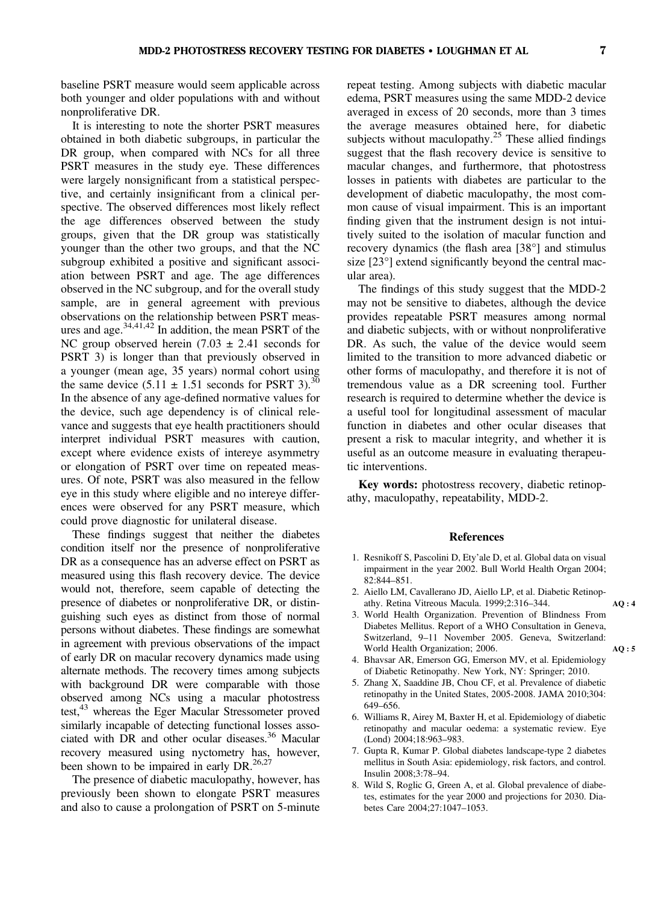baseline PSRT measure would seem applicable across both younger and older populations with and without nonproliferative DR.

It is interesting to note the shorter PSRT measures obtained in both diabetic subgroups, in particular the DR group, when compared with NCs for all three PSRT measures in the study eye. These differences were largely nonsignificant from a statistical perspective, and certainly insignificant from a clinical perspective. The observed differences most likely reflect the age differences observed between the study groups, given that the DR group was statistically younger than the other two groups, and that the NC subgroup exhibited a positive and significant association between PSRT and age. The age differences observed in the NC subgroup, and for the overall study sample, are in general agreement with previous observations on the relationship between PSRT measures and age.34,41,42 In addition, the mean PSRT of the NC group observed herein  $(7.03 \pm 2.41)$  seconds for PSRT 3) is longer than that previously observed in a younger (mean age, 35 years) normal cohort using the same device  $(5.11 \pm 1.51$  seconds for PSRT 3).<sup>30</sup> In the absence of any age-defined normative values for the device, such age dependency is of clinical relevance and suggests that eye health practitioners should interpret individual PSRT measures with caution, except where evidence exists of intereye asymmetry or elongation of PSRT over time on repeated measures. Of note, PSRT was also measured in the fellow eye in this study where eligible and no intereye differences were observed for any PSRT measure, which could prove diagnostic for unilateral disease.

These findings suggest that neither the diabetes condition itself nor the presence of nonproliferative DR as a consequence has an adverse effect on PSRT as measured using this flash recovery device. The device would not, therefore, seem capable of detecting the presence of diabetes or nonproliferative DR, or distinguishing such eyes as distinct from those of normal persons without diabetes. These findings are somewhat in agreement with previous observations of the impact of early DR on macular recovery dynamics made using alternate methods. The recovery times among subjects with background DR were comparable with those observed among NCs using a macular photostress test,<sup>43</sup> whereas the Eger Macular Stressometer proved similarly incapable of detecting functional losses associated with DR and other ocular diseases.<sup>36</sup> Macular recovery measured using nyctometry has, however, been shown to be impaired in early DR.<sup>26,27</sup>

The presence of diabetic maculopathy, however, has previously been shown to elongate PSRT measures and also to cause a prolongation of PSRT on 5-minute repeat testing. Among subjects with diabetic macular edema, PSRT measures using the same MDD-2 device averaged in excess of 20 seconds, more than 3 times the average measures obtained here, for diabetic subjects without maculopathy. $25$  These allied findings suggest that the flash recovery device is sensitive to macular changes, and furthermore, that photostress losses in patients with diabetes are particular to the development of diabetic maculopathy, the most common cause of visual impairment. This is an important finding given that the instrument design is not intuitively suited to the isolation of macular function and recovery dynamics (the flash area [38°] and stimulus size [23°] extend significantly beyond the central macular area).

The findings of this study suggest that the MDD-2 may not be sensitive to diabetes, although the device provides repeatable PSRT measures among normal and diabetic subjects, with or without nonproliferative DR. As such, the value of the device would seem limited to the transition to more advanced diabetic or other forms of maculopathy, and therefore it is not of tremendous value as a DR screening tool. Further research is required to determine whether the device is a useful tool for longitudinal assessment of macular function in diabetes and other ocular diseases that present a risk to macular integrity, and whether it is useful as an outcome measure in evaluating therapeutic interventions.

Key words: photostress recovery, diabetic retinopathy, maculopathy, repeatability, MDD-2.

#### References

- 1. Resnikoff S, Pascolini D, Ety'ale D, et al. Global data on visual impairment in the year 2002. Bull World Health Organ 2004; 82:844–851.
- 2. Aiello LM, Cavallerano JD, Aiello LP, et al. Diabetic Retinopathy. Retina Vitreous Macula. 1999;2:316-344. AQ: 4
- 3. World Health Organization. Prevention of Blindness From Diabetes Mellitus. Report of a WHO Consultation in Geneva, Switzerland, 9–11 November 2005. Geneva, Switzerland: World Health Organization; 2006. AQ: 5
- 4. Bhavsar AR, Emerson GG, Emerson MV, et al. Epidemiology of Diabetic Retinopathy. New York, NY: Springer; 2010.
- 5. Zhang X, Saaddine JB, Chou CF, et al. Prevalence of diabetic retinopathy in the United States, 2005-2008. JAMA 2010;304: 649–656.
- 6. Williams R, Airey M, Baxter H, et al. Epidemiology of diabetic retinopathy and macular oedema: a systematic review. Eye (Lond) 2004;18:963–983.
- 7. Gupta R, Kumar P. Global diabetes landscape-type 2 diabetes mellitus in South Asia: epidemiology, risk factors, and control. Insulin 2008;3:78–94.
- 8. Wild S, Roglic G, Green A, et al. Global prevalence of diabetes, estimates for the year 2000 and projections for 2030. Diabetes Care 2004;27:1047–1053.